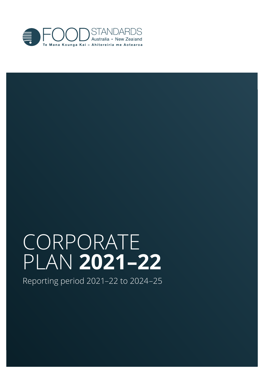

# CORPORATE PLAN **2021–22**

Reporting period 2021–22 to 2024–25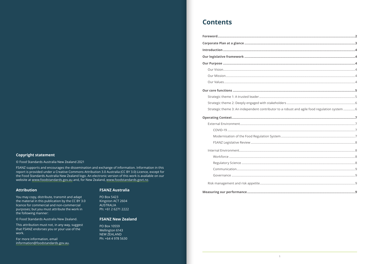#### <span id="page-1-0"></span>**Copyright statement**

© Food Standards Australia New Zealand 2021

FSANZ supports and encourages the dissemination and exchange of information. Information in this report is provided under a Creative Commons Attribution 3.0 Australia (CC BY 3.0) Licence, except for the Food Standards Australia New Zealand logo. An electronic version of this work is available on our website at www.foodstandards.gov.au and, for New Zealand, www.foodstandards.govt.nz.

#### **Attribution**

You may copy, distribute, transmit and adapt the material in this publication by the CC BY 3.0 licence for commercial and non-commercial purposes; but you must attribute the work in the following manner:

© Food Standards Australia New Zealand.

This attribution must not, in any way, suggest that FSANZ endorses you or your use of the work.

For more information, email information@foodstandards.gov.au.

#### **FSANZ Australia**

PO Box 5423 Kingston ACT 2604 AUSTRALIA Ph: +61 2 6271 2222

#### **FSANZ New Zealand**

PO Box 10559 Wellington 6143 NEW ZEALAND Ph: +64 4 978 5630

### **Contents**

| Strategic theme 3: An independent contributor to a robust and agile food regulation system  6 |  |
|-----------------------------------------------------------------------------------------------|--|
|                                                                                               |  |
|                                                                                               |  |
|                                                                                               |  |
|                                                                                               |  |
|                                                                                               |  |
|                                                                                               |  |
|                                                                                               |  |
|                                                                                               |  |
|                                                                                               |  |
|                                                                                               |  |
|                                                                                               |  |
|                                                                                               |  |
|                                                                                               |  |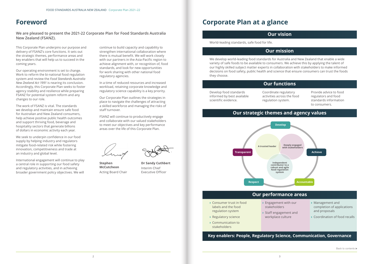### <span id="page-2-0"></span>**Foreword**

**We are pleased to present the 2021-22 Corporate Plan for Food Standards Australia New Zealand (FSANZ).**

This Corporate Plan underpins our purpose and delivery of FSANZ's core functions. It sets out the strategic themes, performance areas and key enablers that will help us to succeed in the coming years.

Our operating environment is set to change. Work to reform the bi-national food regulation system and review the *Food Standards Australia New Zealand Act 1991* is nearing its conclusion. Accordingly, this Corporate Plan seeks to foster agency stability and resilience while preparing FSANZ for potential system reform and any changes to our role.

The work of FSANZ is vital. The standards we develop and maintain ensure safe food for Australian and New Zealand consumers, help achieve positive public health outcomes and support thriving food, beverage and hospitality sectors that generate billions of dollars in economic activity each year.

We seek to underpin confidence in our food supply by helping industry and regulators mitigate food-related risk while fostering innovation, competitiveness and trade at an industry and global level.

International engagement will continue to play a central role in supporting our food safety and regulatory activities, and in achieving broader government policy objectives. We will

continue to build capacity and capability to strengthen international collaboration where there is mutual benefit. We will work closely with our partners in the Asia-Pacific region to achieve alignment with, or recognition of, food standards, and look for new opportunities for work sharing with other national food regulatory agencies.

In a time of reduced resources and increased workload, retaining corporate knowledge and regulatory science capability is a key priority.

Our Corporate Plan outlines the strategies in place to navigate the challenges of attracting a skilled workforce and managing the risks of staff turnover.

FSANZ will continue to productively engage and collaborate with our valued stakeholders to meet our objectives and key performance areas over the life of this Corporate Plan.

**Stephen McCutcheon** Acting Board Chair



**Dr Sandy Cuthbert** Interim Chief Executive Officer

## **Corporate Plan at a glance**

#### **Our vision**

World-leading standards, safe food for life.

#### **Our mission**

We develop world-leading food standards for Australia and New Zealand that enable a wide variety of safe foods to be available to consumers. We achieve this by applying the talent of our highly skilled subject matter experts in collaboration with stakeholders to make informed decisions on food safety, public health and science that ensure consumers can trust the foods they choose.

#### **Our functions**

Develop food standards informed by best available scientific evidence.

Coordinate regulatory activities across the food regulation system.

Provide advice to food regulators and food standards information to consumers.

### **Our strategic themes and agency values**



- **›** Consumer trust in food labels and the food regulation system
- **›** Regulatory science
- **›** Communication to stakeholders

**›** Engagement with our stakeholders

- **›** Staff engagement and
- workplace culture
- **›** Management and completion of applications and proposals
- **›** Coordination of food recalls

**Key enablers: People, Regulatory Science, Communication, Governance**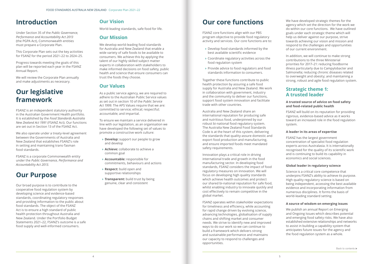## <span id="page-3-0"></span>**Introduction**

Under Section 35 of the *Public Governance, Performance and Accountability Act 2013* (the PGPA Act), Commonwealth entities must prepare a Corporate Plan.

This Corporate Plan sets out the key activities for FSANZ for the period 2021–22 to 2024–25.

Progress towards meeting the goals of this plan will be reported each year in the FSANZ Annual Report.

We will review the Corporate Plan annually and make adjustments as necessary.

## **Our legislative framework**

FSANZ is an independent statutory authority in the Australian Government Health portfolio. It is established by the *Food Standards Australia New Zealand Act 1991* (FSANZ Act). Our functions are set out in Section 13 of the FSANZ Act.

We also operate under a treaty-level agreement between the Governments of Australia and New Zealand that establishes FSANZ's role in setting and maintaining trans-Tasman food standards.

FSANZ is a corporate Commonwealth entity under the *Public Governance, Performance and Accountability Act 2013.*

## **Our Purpose**

Our broad purpose is to contribute to the cooperative food regulation system by developing science and evidence-based standards, coordinating regulatory responses and providing information to the public about food standards. The object of the FSANZ Act is to ensure a high standard of public health protection throughout Australia and New Zealand. Under the Portfolio Budget Statements 2021–22, FSANZ's outcome is a safe food supply and well-informed consumers.

### **Our Vision**

World-leading standards, safe food for life.

#### **Our Mission**

We develop world-leading food standards for Australia and New Zealand that enable a wide variety of safe foods to be available to consumers. We achieve this by applying the talent of our highly skilled subject matter experts in collaboration with stakeholders to make informed decisions on food safety, public health and science that ensure consumers can trust the foods they choose.

#### **Our Values**

As a public service agency, we are required to adhere to the Australian Public Service values as set out in section 10 of the *Public Service*  Act 1999. The APS Values require that we are: committed to service; ethical; respectful; accountable; and impartial.

To ensure we maintain a service delivered in line with our legislation, as an organisation we have developed the following set of values to promote a constructive work culture:

- **› Develop:** support our people to grow and develop
- **› Achieve:** collaborate to achieve a common goal
- **› Accountable:** responsible for commitments, behaviours and actions
- **› Respect:** build open and supportive relationships
- **› Transparent:** build trust by being genuine, clear and consistent

## **Our core functions**

FSANZ core functions align with our PBS program objective to provide food regulatory activity and services. Our core functions are to:

- **›** Develop food standards informed by the best available scientific evidence
- **›** Coordinate regulatory activities across the food regulation system
- **›** Provide advice to food regulators and food standards information to consumers.

Together these functions contribute to public health protection by assuring a safe food supply for Australia and New Zealand. We work in collaboration with government, industry and the community to deliver our functions, support food system innovation and facilitate trade with other countries.

Australia and New Zealand share an international reputation for producing safe and nutritious food, underpinned by our robust bi-national food regulatory system. The Australia New Zealand Food Standards Code is at the heart of this system, delivering the standards that quality-assure domestic and export food production and manufacturing, and ensure imported foods meet mandated safety requirements.

Innovation plays a critical role in driving international trade and growth in the food manufacturing sector. In developing food standards, FSANZ considers the impact of food regulatory measures on innovation. We will focus on developing high quality standards which achieve health outcomes and protect our shared bi-national reputation for safe food, whilst enabling industry to innovate quickly and cost effectively to remain competitive in the global market.

FSANZ operates within stakeholder expectations for timeliness and efficiency, while accounting for rapid change driven by evolving science, advancing technologies, globalisation of supply chains and shifting market and consumer needs. We strive to identify new and improved ways to do our work so we can continue to build a framework which delivers strong and sustainable performance and maintains our capacity to respond to challenges and opportunities.

We have developed strategic themes for the agency which set the direction for the work we do within our core functions. We have outlined goals under each strategic theme which will help us deliver against our purpose, strive towards achieving our vision and mission and respond to the challenges and opportunities of our current environment.

In addition, we will continue to make strong contributions to the three Ministerial priorities for 2017–21: reducing foodborne illness particularly due to Campylobacter and Salmonella; reducing chronic diseases related to overweight and obesity; and maintaining a strong, robust and agile food regulation system.

### **Strategic theme 1: A trusted leader**

#### **A trusted source of advice on food safety and food-related public health**

FSANZ will build on its reputation for providing rigorous, evidence-based advice as it works toward an increased role in the food regulation system.

#### **A leader in its areas of expertise**

FSANZ has the largest government concentration of specialist food regulation experts across Australasia. It is internationally recognised for the quality of its scientific work and is continuing to build its capability in economics and social sciences.

#### **Global leader in regulatory science**

Science is a critical core competence that underpins FSANZ's ability to achieve its purpose. High quality regulatory science is based on being independent, accessing the best available evidence and incorporating information from numerous disciplines. It forms the basis of world-leading standard setting.

#### **A source of wisdom on emerging issues**

We publish an annual Report on Emerging and Ongoing Issues which describes potential and emerging food safety risks. We have also established extensive relationships and networks to assist in building a capability system that anticipates future issues for the agency and the food regulation system as a whole.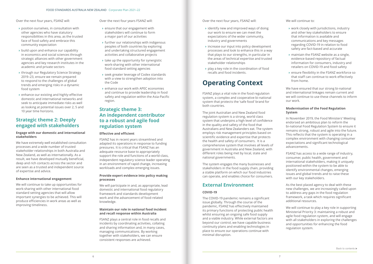<span id="page-4-0"></span>Over the next four years, FSANZ will:

- **›** position ourselves, in consultation with other agencies who have statutory responsibilities in this area, as the trusted face of food safety and embrace this community expectation
- **›** build upon and enhance our capability in economics and social sciences through strategic alliances with other government agencies and key research institutes in the academic and private sectors
- **›** through our Regulatory Science Strategy 2019–23, ensure we remain prepared to respond to the challenges of global trends and emerging risks in a dynamic food system
- **›** enhance our existing and highly-effective domestic and international networks and seek to anticipate immediate risks as well as looking at potential issues over 2, 5 and 10 year time horizons.

#### **Strategic theme 2: Deeply engaged with stakeholders**

#### **Engage with our domestic and international stakeholders**

We have extremely well established consultation processes and a wide number of trusted stakeholder relationships in both Australia and New Zealand, as well as internationally. As a result, we have developed mutually beneficial, deep and rich contacts across the sector and are seen as a trusted and independent source of expertise and advice.

#### **Enhance international engagement**

We will continue to take up opportunities for work-sharing with other international food standard setting agencies that will allow important synergies to be achieved. This will produce efficiencies in work areas as well as improving timeliness.

Over the next four years FSANZ will:

- **›** ensure that our engagement with stakeholders will continue to form a major part of our activities
- **›** further our relationships with indigenous peoples of both countries by exploring and undertaking structured engagement activities and collaborative projects
- **›** take up the opportunity for synergistic work-sharing with other international food standard setting agencies
- **›** seek greater leverage of Codex standards with a view to strengthen adoption into the Code
- **›** enhance our work with APEC economies and continue to provide leadership in food safety and regulation within the Asia-Pacific region.

#### **Strategic theme 3: An independent contributor to a robust and agile food regulation system**

#### **Effective and efficient**

FSANZ has in recent years streamlined and adapted its operations in response to funding pressures. It is critical that FSANZ has an adequate resource base to appropriately support the role and functions of a world-class, independent regulatory science leader operating in an environment of rapid change, increasing workloads and complex emerging issues.

#### **Provide expert evidence into policy making processes**

We will participate in and, as appropriate, lead domestic and international food regulatory framework and standards development work and the advancement of food-related knowledge.

#### **Maintain our role in national food incident and recall response within Australia**

FSANZ plays a central role in food recalls and incidents by coordinating activities, collating and sharing information and, in many cases, managing communications. By working together with stakeholders, we can ensure consistent responses are achieved.

Over the next four years, FSANZ will:

- **›** identify new and improved ways of doing our work to ensure we can meet the expectations of the wider community, industry and governments
- **›** increase our input into policy development processes and look to enhance this in a way that plays to our strengths, in particular in the areas of technical expertise and trusted stakeholder relationships
- **›** play a key role in the coordination of food recalls and food incidents.

## **Operating Context**

FSANZ plays a vital role in the food regulation system, a complex and cooperative bi-national system that protects the 'safe food' brand for both countries.

The joint Australian and New Zealand food regulation system is a strong, world class system that underpins a high level of confidence in the quality and safety of the food that Australians and New Zealanders eat. The system employs risk management principles based on scientific evidence and expertise that protects the health and safety of consumers. It is a comprehensive system that involves all levels of government in Australia and New Zealand, with different roles being met by local, state and national governments.

The system engages the many businesses and stakeholders in the food supply chain, providing a stable platform on which our food industries can operate, and enables choice for consumers.

### **External Environment**

#### **COVID-19**

The COVID-19 pandemic remains a significant issue globally. Through the course of the pandemic, FSANZ has effectively maintained its primary functions of protecting public health whilst ensuring an ongoing safe food supply and a viable industry. While external factors are beyond our control, we have capable business continuity plans and enabling technologies in place to ensure our operations continue with minimal disruption.

We will continue to:

- **›** work closely with jurisdictions, industry and other key stakeholders to ensure that information is available and communications and key messages regarding COVID-19 in relation to food safety are fact-based and accurate
- **›** maintain the FSANZ website as a single, evidence-based repository of factual information for consumers, industry and retailers on COVID-19 and food safety
- **›** ensure flexibility in the FSANZ workforce so that staff can continue to work effectively from home.

We have ensured that our strong bi-national and international linkages remain current and we will continue to use these channels to inform our work.

#### **Modernisation of the Food Regulation System**

In November 2019, the Food Ministers' Meeting endorsed an ambitious plan to reform the bi-national Food Regulation System to ensure it remains strong, robust and agile into the future. This reflects that the system is operating in a complex environment with changing consumer expectations and significant technological advancements.

FSANZ has access to a wide range of industry, consumer, public health, government and international stakeholders, making it uniquely positioned within the system to be able to identify environmental changes, emerging issues and global trends and to raise these with our key stakeholders.

As the best placed agency to deal with these new challenges, we are increasingly called upon to address any gaps in the food regulation framework, a task which requires significant additional resources.

We will continue to play a key role in supporting Ministerial Priority 3: maintaining a robust and agile food regulation system, and will engage with all stakeholders in exploring the challenges and opportunities for enhancing the food regulation system.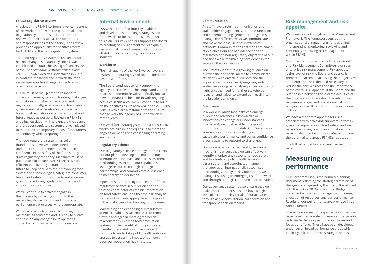#### <span id="page-5-0"></span>**FSANZ Legislative Review**

A review of the FSANZ Act forms a key component of the work to reform of the bi-national Food Regulation System. This includes a broad review of the Act as well as the operations and responsibilities of the agency. The review provides an opportunity for positive reform for FSANZ and the food regulation system.

The food regulatory system in its current form has not changed substantially since it was established in 2000. The last significant review of the *Food Standards Australia New Zealand Act 1991* (FSANZ Act) was undertaken in 2007. In contrast, the landscape in which the food sector operates has changed considerably over the same period.

FSANZ must be well placed to respond to current and emerging opportunities, challenges and risks in both standards-setting and regulation. Equally, Australian and New Zealand governments at all levels must ensure the bi-national regulatory system is as robust and future–ready as possible. Reviewing FSANZ's enabling legislation will help ensure the agency and broader regulatory system are well placed to meet the contemporary needs of consumers and industry while preparing for the future.

The food regulatory system has solid foundations, however, it does need to be updated to support innovation, maintain confidence in the safety of the food supply and drive regulatory efficiency. Measures must be put in place to ensure FSANZ is effective and efficient in delivering its functions into the future to keep pace with rapidly evolving food systems and technologies, safeguard consumer health and safety, support trade and economic growth by reducing regulatory burden, and support industry innovation.

We will continue to actively engage in the process by providing input into the review, legislative drafting and ministerial/ parliamentary processes, where appropriate.

We will also work to ensure that the agency maintains its solid base and is ready to evolve and take on any changes in its operating context which may come from the review.

#### **Internal Environment**

FSANZ has identified four key enablers and developed supporting strategies and frameworks to focus our activities under this plan. Our key enablers support the Board by creating an environment for high quality decision making and communication with all stakeholders, including consumers and industry.

#### **Workforce**

The high quality of the work we achieve is a testament to our highly skilled, qualified and diverse workforce.

The Board continues to fully support the agency's culture work. The People and Culture Board sub-committee will specifically look at how the Board can best link in with ongoing activities in this area. We will continue to build on the positive results achieved in the 2020 APS Census which are a testament to the culture change work the agency has undertaken in recent years.

Our Workforce Strategy supports a constructive workplace culture and equips us to meet the ongoing demands of a challenging operating environment.

#### **Regulatory Science**

Our Regulatory Science Strategy 2019–23 sets out our plan to develop and maintain our scientific evidence base and risk assessment methodologies, expand our capabilities, leverage resources through strategic partnerships, and communicate our science to meet stakeholder needs.

We have a moderate appetite for risks associated with achieving our overall strategy given the importance of food safety, and we have a low willingness to accept risks which have no alignment with our strategies or have the potential to damage FSANZ's reputation.

It positions us as a recognised leader of food regulatory science in our region and the trusted coordinator of credible information on food safety, ensuring that the risk analysis framework remains appropriate to respond to the challenges of a changing food system.

Maintaining and expanding our regulatory science capabilities will enable us to remain flexible and agile in meeting the needs of a constantly evolving food production system, for the benefit of food producers, manufacturers and consumers. We will continue to undertake public health nutrition analysis to assess the impact of our work upon our population health status.

#### **Communication**

All staff have a role in communication and stakeholder engagement. Our Communication and Stakeholder Engagement Strategy aims to manage the different ways we communicate and make the best use of our extensive networks. Communications activities are aimed at explaining our use of evidence and the regulatory and non-regulatory objectives of our decisions while maintaining confidence in the safety of the food supply.

The Strategy identifies a growing reliance on our website and social media to communicate efficiently with diverse audiences and the importance of more clearly engaging with audiences during risk analysis processes. It also highlights the need for further stakeholder research and liaison to extend our reach into the broader community.

#### **Governance**

In a world in which food risks can emerge quickly and advances in knowledge or innovation can change our understanding of a hazard, we must be able to respond promptly and proportionately. Our Governance Framework contributes to strong and sustainable performance and builds confidence in our capacity to respond to challenges.

Our risk analysis approach and governance mechanisms ensure that we can effectively identify, monitor and respond to food safety and food-related public health issues in a transparent and coordinated manner that applies an internationally recognised methodology. In day-to-day operations, we manage risk using an emerging risk framework and through strategic communication activities.

Our governance systems also ensure that we make consistent decisions and have a high level of accountability for all of our activities, through active consultation, collaboration and transparent decision making.

### **Risk management and risk appetite**

We manage risk through our Risk Management Framework. The framework sets out the organisational arrangements for designing, implementing, monitoring, reviewing and continually improving risk management within FSANZ.

Our Board, supported by the Finance, Audit and Risk Management Committee, oversees enterprise risk management. Risk appetite is the level of risk the Board and agency is prepared to accept in achieving their objectives and before action is deemed necessary to reduce the risk. We recognise the importance of the overall risk appetite of the Board and the relationship between this and the activities of the organisation. In addition, the relationship between strategic and operational risk is recognised as well as links with organisational culture.

The full risk appetite statement can be found [here](https://www.foodstandards.gov.au/about/Pages/Revised-risk-appetite-statement.aspx).

### **Measuring our performance**

Our Corporate Plan is the primary planning document reflecting the strategic direction of the agency, as agreed by the Board. It is aligned with the FSANZ 2021–22 Portfolio Budget Statement which describes agency outcomes, allocation of resources, and our performance. Results of our performance are provided in our Annual Report.

To ensure we meet our expected outcomes, we have developed a suite of measures that enable us to better tell our performance stories and focus our efforts. These have been developed under seven broad performance areas which explicitly link to our three strategic themes.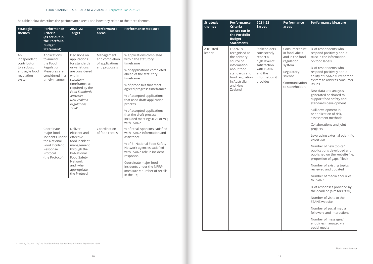The table below describes the performance areas and how they relate to the three themes.

| <b>Strategic</b><br>themes                                                                | <b>Performance</b><br><b>Criteria</b><br>(as set out in<br>the Portfolio<br><b>Budget</b><br>Statement)                | $2021 - 22$<br><b>Target</b>                                                                                                                                                                                             | <b>Performance</b><br>areas                                      | <b>Performance Measure</b>                                                                                                                                                                                                                                                                                                                                                   |
|-------------------------------------------------------------------------------------------|------------------------------------------------------------------------------------------------------------------------|--------------------------------------------------------------------------------------------------------------------------------------------------------------------------------------------------------------------------|------------------------------------------------------------------|------------------------------------------------------------------------------------------------------------------------------------------------------------------------------------------------------------------------------------------------------------------------------------------------------------------------------------------------------------------------------|
| An<br>independent<br>contributor<br>to a robust<br>and agile food<br>regulation<br>system | Applications<br>to amend<br>the Food<br>Regulation<br>Measures are<br>considered in a<br>timely manner                 | Decisions on<br>applications<br>for standards<br>or variations<br>are considered<br>within<br>statutory<br>timeframes as<br>required by the<br><b>Food Standards</b><br>Australia<br>New Zealand<br>Regulations<br>19941 | Management<br>and completion<br>of applications<br>and proposals | % applications completed<br>within the statutory<br>timeframe<br>% of applications completed<br>ahead of the statutory<br>timeframe<br>% of proposals that meet<br>agreed progress timeframes<br>% of accepted applications<br>that used draft application<br>process<br>% of accepted applications<br>that the draft process<br>included meetings (F2F or VC)<br>with FSANZ |
|                                                                                           | Coordinate<br>major food<br>incidents under<br>the National<br>Food Incident<br>Response<br>Protocol<br>(the Protocol) | Deliver<br>efficient and<br>effective<br>food incident<br>management<br>through the<br><b>Bi-National</b><br>Food Safety<br>Network<br>and, when<br>appropriate,<br>the Protocol                                         | Coordination<br>of food recalls                                  | % of recall sponsors satisfied<br>with FSANZ information and<br>assistance<br>% of Bi-National Food Safety<br>Network agencies satisfied<br>with FSANZ role in incident<br>response.<br>Coordinate major food<br>incidents under the NFIRP<br>(measure = number of recalls<br>in the FY)                                                                                     |

*1 Part 5, Section 11 of the Food Standards Australia New Zealand Regulations 1994*

### **Performance**

#### **Performance Measure**

| A trusted<br>leader | FSANZ is<br>recognised as<br>the primary<br>source of<br>information<br>about food<br>standards and<br>food regulation<br>in Australia<br>and New<br>Zealand | Stakeholders<br>consistently<br>report a<br>high level of<br>satisfaction<br>with FSANZ<br>and the<br>information it<br>provides | Consumer trust<br>in food labels<br>and in the food<br>regulation<br>system<br>Regulatory<br>science<br>Communication<br>to stakeholders | % of respondents who<br>respond positively about<br>trust in the information<br>on food labels<br>% of respondents who<br>respond positively about<br>ability of FSANZ current food<br>system to address consumer<br>issues<br>New data and analysis<br>generated or shared to<br>support food safety and<br>standards development<br>Skill development in,<br>or application of risk,<br>assessment methods<br>Collaborations and joint<br>projects<br>Leveraging external scientific<br>expertise<br>Number of new topics/<br>publications developed and<br>published on the website (i.e.<br>proportion of gaps filled)<br>Number of existing topics<br>reviewed and updated<br>Number of media enquiries<br>to FSANZ<br>% of responses provided by<br>the deadline (aim for >99%)<br>Number of visits to the<br>FSANZ website<br>Number of social media<br>followers and interactions<br>Number of messages/<br>enquiries managed via |
|---------------------|--------------------------------------------------------------------------------------------------------------------------------------------------------------|----------------------------------------------------------------------------------------------------------------------------------|------------------------------------------------------------------------------------------------------------------------------------------|-------------------------------------------------------------------------------------------------------------------------------------------------------------------------------------------------------------------------------------------------------------------------------------------------------------------------------------------------------------------------------------------------------------------------------------------------------------------------------------------------------------------------------------------------------------------------------------------------------------------------------------------------------------------------------------------------------------------------------------------------------------------------------------------------------------------------------------------------------------------------------------------------------------------------------------------|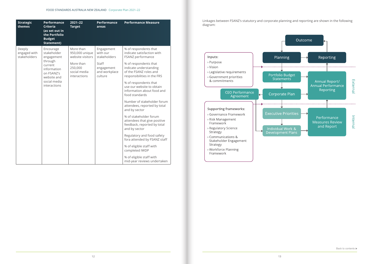| <b>Strategic</b><br>themes             | <b>Performance</b><br><b>Criteria</b><br>(as set out in<br>the Portfolio<br><b>Budget</b><br><b>Statement)</b> | 2021-22<br><b>Target</b>                                     | <b>Performance</b><br>areas                     | <b>Performance Measure</b>                                                                                                                                                             |
|----------------------------------------|----------------------------------------------------------------------------------------------------------------|--------------------------------------------------------------|-------------------------------------------------|----------------------------------------------------------------------------------------------------------------------------------------------------------------------------------------|
| Deeply<br>engaged with<br>stakeholders | Encourage<br>stakeholder<br>engagement<br>through<br>current                                                   | More than<br>950,000 unique<br>website visitors<br>More than | Engagement<br>with our<br>stakeholders<br>Staff | % of respondents that<br>indicate satisfaction with<br>FSANZ performance<br>% of respondents that                                                                                      |
|                                        | information<br>on FSANZ's<br>website and<br>social media<br>interactions                                       | 250,000<br>social media<br>interactions                      | engagement<br>and workplace<br>culture          | indicate understanding<br>of the FSANZ roles and<br>responsibilities in the FRS<br>% of respondents that<br>use our website to obtain<br>information about food and<br>food standards  |
|                                        |                                                                                                                |                                                              |                                                 | Number of stakeholder forum<br>attendees, reported by total<br>and by sector<br>% of stakeholder forum<br>attendees that give positive<br>feedback, reported by total<br>and by sector |
|                                        |                                                                                                                |                                                              |                                                 | Regulatory and food safety<br>fora attended by FSANZ staff<br>% of eligible staff with<br>completed IWDP<br>% of eligible staff with<br>mid-year reviews undertaken                    |

ges between FSANZ's statutory and corporate planning and reporting are shown in the following am: